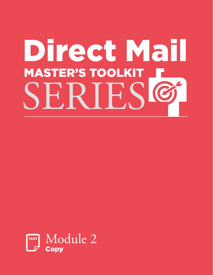# Direct Mail **MASTER'S TOOLKIT** SERIESC

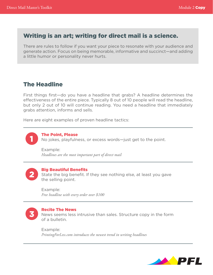# Writing is an art; writing for direct mail is a science.

There are rules to follow if you want your piece to resonate with your audience and generate action. Focus on being memorable, informative and succinct—and adding a little humor or personality never hurts.

# The Headline

First things first—do you have a headline that grabs? A headline determines the effectiveness of the entire piece. Typically 8 out of 10 people will read the headline, but only 2 out of 10 will continue reading. You need a headline that immediately grabs attention, informs and sells.

Here are eight examples of proven headline tactics:

1

The Point, Please No jokes, playfulness, or excess words—just get to the point.

Example: *Headlines are the most important part of direct mail*

2

#### Big Beautiful Benefits

State the big benefit. If they see nothing else, at least you gave the selling point.

Example: *Free headline with every order over \$100*



#### Recite The News

News seems less intrusive than sales. Structure copy in the form of a bulletin.

Example: *PrintingForLess.com introduces the newest trend in writing headlines*

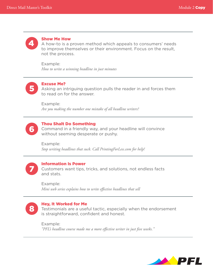

#### Show Me How

A how-to is a proven method which appeals to consumers' needs to improve themselves or their environment. Focus on the result, not the process.

Example: *How to write a winning headline in just minutes*



#### Excuse Me?

Asking an intriguing question pulls the reader in and forces them to read on for the answer.

Example: *Are you making the number one mistake of all headline writers?*



#### Thou Shalt Do Something

Command in a friendly way, and your headline will convince without seeming desperate or pushy.

Example: *Stop writing headlines that suck. Call PrintingForLess.com for help!*



#### Information Is Power

Customers want tips, tricks, and solutions, not endless facts and stats.

Example: *Mini web series explains how to write effective headlines that sell*



#### Hey, It Worked for Me

Testimonials are a useful tactic, especially when the endorsement is straightforward, confident and honest.

Example: *"PFL's headline course made me a more effective writer in just five weeks."*

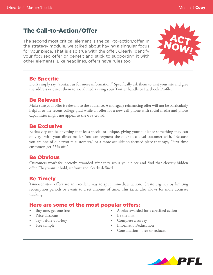# The Call-to-Action/Offer

The second most critical element is the call-to-action/offer. In the strategy module, we talked about having a singular focus for your piece. That is also true with the offer. Clearly identify your focused offer or benefit and stick to supporting it with other elements. Like headlines, offers have rules too.



#### Be Specific

Don't simply say, "contact us for more information." Specifically ask them to visit your site and give the address or direct them to social media using your Twitter handle or Facebook Profile.

### Be Relevant

Make sure your offer is relevant to the audience. A mortgage refinancing offer will not be particularly helpful to the recent college grad while an offer for a new cell phone with social media and photo capabilities might not appeal to the 65+ crowd.

### Be Exclusive

Exclusivity can be anything that feels special or unique, giving your audience something they can only get with your direct mailer. You can segment the offer to a loyal customer with, "Because you are one of our favorite customers," or a more acquisition-focused piece that says, "First-time customers get 25% off."

# Be Obvious

Customers won't feel secretly rewarded after they scour your piece and find that cleverly-hidden offer. They want it bold, upfront and clearly defined.

# Be Timely

Time-sensitive offers are an excellent way to spur immediate action. Create urgency by limiting redemption periods or events to a set amount of time. This tactic also allows for more accurate tracking.

### Here are some of the most popular offers:

- Buy one, get one free
- Price discount
- Try-before-you-buy
- Free sample
- A prize awarded for a specified action
- Be the first!
- Complete a survey
- Information/education
- Consultation free or reduced

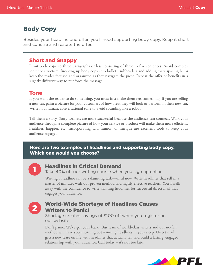# Body Copy

Besides your headline and offer, you'll need supporting body copy. Keep it short and concise and restate the offer.

#### Short and Snappy

Limit body copy to three paragraphs or less consisting of three to five sentences. Avoid complex sentence structure. Breaking up body copy into bullets, subheaders and adding extra spacing helps keep the reader focused and organized as they navigate the piece. Repeat the offer or benefits in a slightly different way to reinforce the message.

#### Tone

If you want the reader to do something, you must first make them feel something. If you are selling a new car, paint a picture for your customers of how great they will look or perform in their new car. Write in a human, conversational tone to avoid sounding like a robot.

Tell them a story. Story formats are more successful because the audience can connect. Walk your audience through a complete picture of how your service or product will make them more efficient, healthier, happier, etc. Incorporating wit, humor, or intrigue are excellent tools to keep your audience engaged.

#### Here are two examples of headlines and supporting body copy. Which one would you choose?



#### Headlines in Critical Demand

Take 40% off our writing course when you sign up online

Writing a headline can be a daunting task—until now. Write headlines that sell in a matter of minutes with our proven method and highly effective teachers. You'll walk away with the confidence to write winning headlines for successful direct mail that engages your audience.



# World-Wide Shortage of Headlines Causes Writers to Panic!

Shortage creates savings of \$100 off when you register on our website

Don't panic. We've got your back. Our team of world-class writers and our no-fail method will have you churning out winning headlines in your sleep. Direct mail gets a new lease on life with headlines that actually sell and build a lasting, engaged relationship with your audience. Call today – it's not too late!

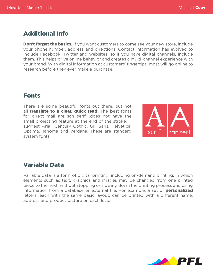# Additional Info

**Don't forget the basics.** If you want customers to come see your new store, include your phone number, address and directions. Contact information has evolved to include Facebook, Twitter and websites, so if you have digital channels, include them. This helps drive online behavior and creates a multi-channel experience with your brand. With digital information at customers' fingertips, most will go online to research before they ever make a purchase.

# Fonts

There are some beautiful fonts out there, but not all translate to a clear, quick read. The best fonts for direct mail are san serif (does not have the small projecting feature at the end of the stroke). I suggest Arial, Century Gothic, Gill Sans, Helvetica, Optima, Tahoma and Verdana. These are standard system fonts.



# Variable Data

Variable data is a form of digital printing, including on-demand printing, in which elements such as text, graphics and images may be changed from one printed piece to the next, without stopping or slowing down the printing process and using information from a database or external file. For example, a set of **personalized** letters, each with the same basic layout, can be printed with a different name, address and product picture on each letter.

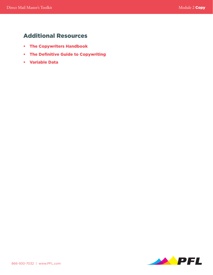# Additional Resources

- [The Copywriters Handbook](http://www.amazon.com/The-Copywriters-Handbook-Step-By-Step-Writing/dp/0805078045)
- [The Definitive Guide to Copywriting](http://www.quicksprout.com/the-definitive-guide-to-copywriting/)
- [Variable Data](http://www.printingforless.com/Variable-Data-Printing.html)